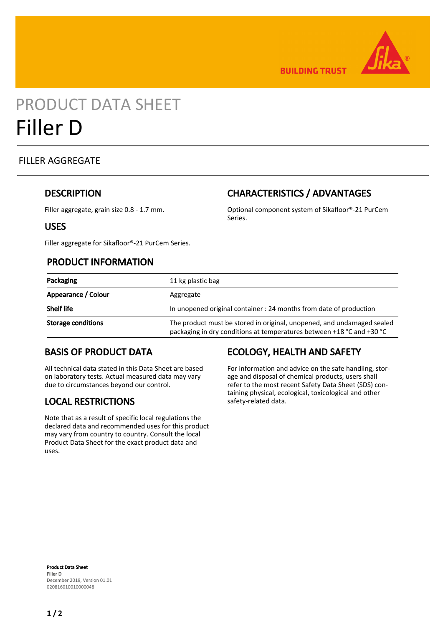

**BUILDING TRUST** 

# PRODUCT DATA SHEET Filler D

#### FILLER AGGREGATE

#### **DESCRIPTION**

Filler aggregate, grain size 0.8 - 1.7 mm.

# CHARACTERISTICS / ADVANTAGES

Optional component system of Sikafloor®-21 PurCem Series.

#### USES

Filler aggregate for Sikafloor®-21 PurCem Series.

#### PRODUCT INFORMATION

| Packaging                 | 11 kg plastic bag                                                                                                                               |
|---------------------------|-------------------------------------------------------------------------------------------------------------------------------------------------|
| Appearance / Colour       | Aggregate                                                                                                                                       |
| <b>Shelf life</b>         | In unopened original container : 24 months from date of production                                                                              |
| <b>Storage conditions</b> | The product must be stored in original, unopened, and undamaged sealed<br>packaging in dry conditions at temperatures between +18 °C and +30 °C |

## BASIS OF PRODUCT DATA

All technical data stated in this Data Sheet are based on laboratory tests. Actual measured data may vary due to circumstances beyond our control.

## LOCAL RESTRICTIONS

Note that as a result of specific local regulations the declared data and recommended uses for this product may vary from country to country. Consult the local Product Data Sheet for the exact product data and uses.

# ECOLOGY, HEALTH AND SAFETY

For information and advice on the safe handling, storage and disposal of chemical products, users shall refer to the most recent Safety Data Sheet (SDS) containing physical, ecological, toxicological and other safety-related data.

Product Data Sheet Filler D December 2019, Version 01.01 020816010010000048